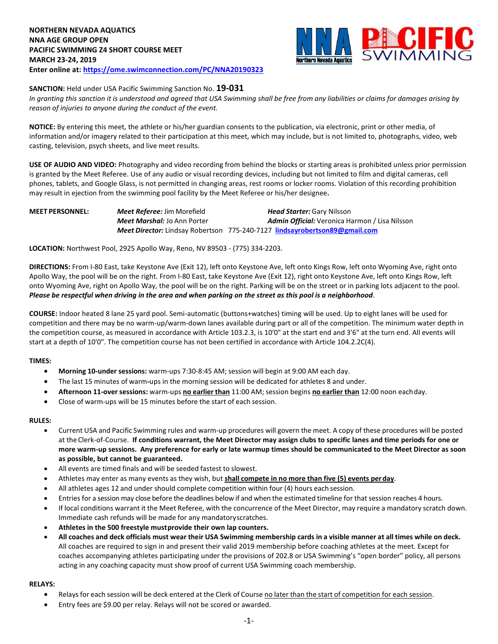

## **SANCTION:** Held under USA Pacific Swimming Sanction No. **19-031**

*In granting this sanction it is understood and agreed that USA Swimming shall be free from any liabilities or claims for damages arising by reason of injuries to anyone during the conduct of the event.*

**NOTICE:** By entering this meet, the athlete or his/her guardian consents to the publication, via electronic, print or other media, of information and/or imagery related to their participation at this meet, which may include, but is not limited to, photographs, video, web casting, television, psych sheets, and live meet results.

**USE OF AUDIO AND VIDEO:** Photography and video recording from behind the blocks or starting areas is prohibited unless prior permission is granted by the Meet Referee. Use of any audio or visual recording devices, including but not limited to film and digital cameras, cell phones, tablets, and Google Glass, is not permitted in changing areas, rest rooms or locker rooms. Violation of this recording prohibition may result in ejection from the swimming pool facility by the Meet Referee or his/her designee**.**

| <b>MEET PERSONNEL:</b> | <b>Meet Referee: Jim Morefield</b> | <b>Head Starter: Gary Nilsson</b>                                          |
|------------------------|------------------------------------|----------------------------------------------------------------------------|
|                        | <b>Meet Marshal:</b> Jo Ann Porter | <b>Admin Official:</b> Veronica Harmon / Lisa Nilsson                      |
|                        |                                    | Meet Director: Lindsay Robertson 775-240-7127 lindsayrobertson89@gmail.com |

**LOCATION:** Northwest Pool, 2925 Apollo Way, Reno, NV 89503 - (775) 334-2203.

**DIRECTIONS:** From I-80 East, take Keystone Ave (Exit 12), left onto Keystone Ave, left onto Kings Row, left onto Wyoming Ave, right onto Apollo Way, the pool will be on the right. From I-80 East, take Keystone Ave (Exit 12), right onto Keystone Ave, left onto Kings Row, left onto Wyoming Ave, right on Apollo Way, the pool will be on the right. Parking will be on the street or in parking lots adjacent to the pool. *Please be respectful when driving in the area and when parking on the street as this pool is a neighborhood.*

**COURSE:** Indoor heated 8 lane 25 yard pool. Semi-automatic (buttons+watches) timing will be used. Up to eight lanes will be used for competition and there may be no warm-up/warm-down lanes available during part or all of the competition. The minimum water depth in the competition course, as measured in accordance with Article 103.2.3, is 10'0" at the start end and 3'6" at the turn end. All events will start at a depth of 10'0". The competition course has not been certified in accordance with Article 104.2.2C(4).

## **TIMES:**

- **Morning 10-under sessions:** warm-ups 7:30-8:45 AM; session will begin at 9:00 AM each day.
- The last 15 minutes of warm**-**ups in the morning session will be dedicated for athletes 8 and under.
- **Afternoon 11-over sessions:** warm-ups **no earlier than** 11:00 AM; session begins **no earlier than** 12:00 noon eachday.
- Close of warm-ups will be 15 minutes before the start of each session.

#### **RULES:**

- Current USA and Pacific Swimming rules and warm-up procedures will govern the meet. A copy of these procedures will be posted at the Clerk-of-Course. **If conditions warrant, the Meet Director may assign clubs to specific lanes and time periods for one or more warm-up sessions. Any preference for early or late warmup times should be communicated to the Meet Director as soon as possible, but cannot be guaranteed.**
- All events are timed finals and will be seeded fastest to slowest.
- Athletes may enter as many events as they wish, but **shall compete in no more than five (5) events perday**.
- All athletes ages 12 and under should complete competition within four (4) hours each session.
- Entries for a session may close before the deadlines below if and when the estimated timeline for thatsession reaches 4 hours.
- If local conditions warrant it the Meet Referee, with the concurrence of the Meet Director, may require a mandatory scratch down. Immediate cash refunds will be made for any mandatoryscratches.
- **Athletes in the 500 freestyle mustprovide their own lap counters.**
- All coaches and deck officials must wear their USA Swimming membership cards in a visible manner at all times while on deck. All coaches are required to sign in and present their valid 2019 membership before coaching athletes at the meet. Except for coaches accompanying athletes participating under the provisions of 202.8 or USA Swimming's "open border" policy, all persons acting in any coaching capacity must show proof of current USA Swimming coach membership.

#### **RELAYS:**

- Relays for each session will be deck entered at the Clerk of Course no later than the start of competition for each session.
- Entry fees are \$9.00 per relay. Relays will not be scored or awarded.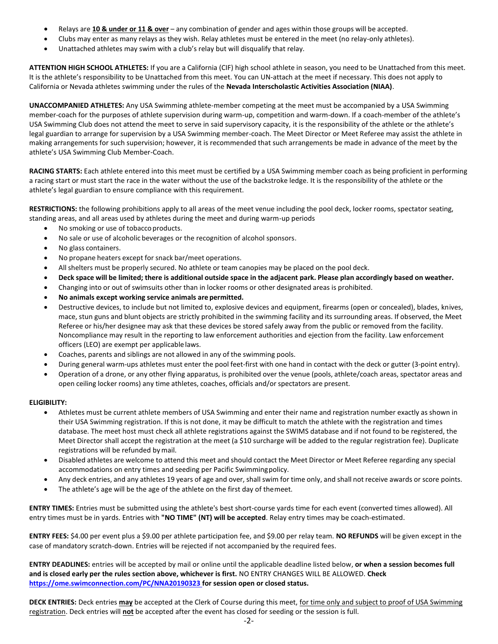- Relays are **10 & under or 11 & over** any combination of gender and ages within those groups will be accepted.
- Clubs may enter as many relays as they wish. Relay athletes must be entered in the meet (no relay-only athletes).
- Unattached athletes may swim with a club's relay but will disqualify that relay.

**ATTENTION HIGH SCHOOL ATHLETES:** If you are a California (CIF) high school athlete in season, you need to be Unattached from this meet. It is the athlete's responsibility to be Unattached from this meet. You can UN-attach at the meet if necessary. This does not apply to California or Nevada athletes swimming under the rules of the **Nevada Interscholastic Activities Association (NIAA)**.

**UNACCOMPANIED ATHLETES:** Any USA Swimming athlete-member competing at the meet must be accompanied by a USA Swimming member-coach for the purposes of athlete supervision during warm-up, competition and warm-down. If a coach-member of the athlete's USA Swimming Club does not attend the meet to serve in said supervisory capacity, it is the responsibility of the athlete or the athlete's legal guardian to arrange for supervision by a USA Swimming member-coach. The Meet Director or Meet Referee may assist the athlete in making arrangements for such supervision; however, it is recommended that such arrangements be made in advance of the meet by the athlete's USA Swimming Club Member-Coach.

**RACING STARTS:** Each athlete entered into this meet must be certified by a USA Swimming member coach as being proficient in performing a racing start or must start the race in the water without the use of the backstroke ledge. It is the responsibility of the athlete or the athlete's legal guardian to ensure compliance with this requirement.

RESTRICTIONS: the following prohibitions apply to all areas of the meet venue including the pool deck, locker rooms, spectator seating, standing areas, and all areas used by athletes during the meet and during warm-up periods

- No smoking or use of tobaccoproducts.
- No sale or use of alcoholic beverages or the recognition of alcohol sponsors.
- No glass containers.
- No propane heaters except for snack bar/meet operations.
- All shelters must be properly secured. No athlete or team canopies may be placed on the pool deck.
- Deck space will be limited; there is additional outside space in the adjacent park. Please plan accordingly based on weather.
- Changing into or out of swimsuits other than in locker rooms or other designated areas is prohibited.
- **No animals except working service animals are permitted.**
- Destructive devices, to include but not limited to, explosive devices and equipment, firearms (open or concealed), blades, knives, mace, stun guns and blunt objects are strictly prohibited in the swimming facility and its surrounding areas. If observed, the Meet Referee or his/her designee may ask that these devices be stored safely away from the public or removed from the facility. Noncompliance may result in the reporting to law enforcement authorities and ejection from the facility. Law enforcement officers (LEO) are exempt per applicable laws.
- Coaches, parents and siblings are not allowed in any of the swimming pools.
- During general warm-ups athletes must enter the pool feet-first with one hand in contact with the deck or gutter (3-point entry).
- Operation of a drone, or any other flying apparatus, is prohibited over the venue (pools, athlete/coach areas, spectator areas and open ceiling locker rooms) any time athletes, coaches, officials and/or spectators are present.

## **ELIGIBILITY:**

- Athletes must be current athlete members of USA Swimming and enter their name and registration number exactly as shown in their USA Swimming registration. If this is not done, it may be difficult to match the athlete with the registration and times database. The meet host must check all athlete registrations against the SWIMS database and if not found to be registered, the Meet Director shall accept the registration at the meet (a \$10 surcharge will be added to the regular registration fee). Duplicate registrations will be refunded bymail.
- Disabled athletes are welcome to attend this meet and should contact the Meet Director or Meet Referee regarding any special accommodations on entry times and seeding per Pacific Swimmingpolicy.
- Any deck entries, and any athletes 19 years of age and over, shall swim for time only, and shall not receive awards or score points.
- The athlete's age will be the age of the athlete on the first day of themeet.

**ENTRY TIMES:** Entries must be submitted using the athlete's best short-course yards time for each event (converted times allowed). All entry times must be in yards. Entries with **"NO TIME" (NT) will be accepted**. Relay entry times may be coach-estimated.

**ENTRY FEES:** \$4.00 per event plus a \$9.00 per athlete participation fee, and \$9.00 per relay team. **NO REFUNDS** will be given except in the case of mandatory scratch-down. Entries will be rejected if not accompanied by the required fees.

**ENTRY DEADLINES:** entries will be accepted by mail or online until the applicable deadline listed below, **or when a session becomes full and is closed early per the rules section above, whichever is first.** NO ENTRY CHANGES WILL BE ALLOWED. **Check <https://ome.swimconnection.com/PC/NNA20190323> for session open or closed status.**

**DECK ENTRIES:** Deck entries **may** be accepted at the Clerk of Course during this meet, for time only and subject to proof of USA Swimming registration. Deck entries will **not** be accepted after the event has closed for seeding or the session is full.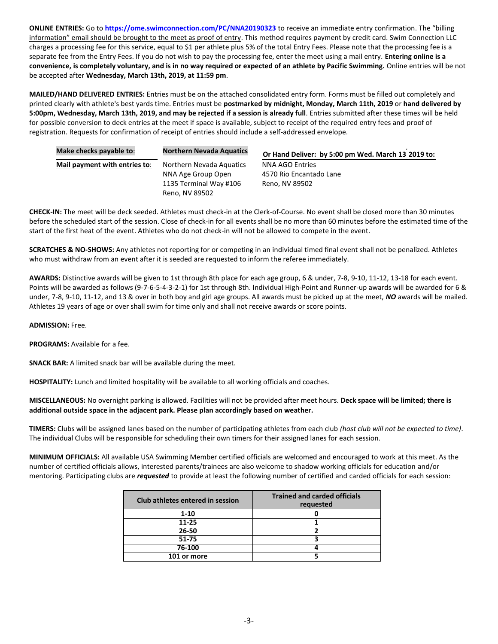**ONLINE ENTRIES:** Go to **<https://ome.swimconnection.com/PC/NNA20190323>** to receive an immediate entry confirmation. The "billing information" email should be brought to the meet as proof of entry. This method requires payment by credit card. Swim Connection LLC charges a processing fee for this service, equal to \$1 per athlete plus 5% of the total Entry Fees. Please note that the processing fee is a separate fee from the Entry Fees. If you do not wish to pay the processing fee, enter the meet using a mail entry. **Entering online is a convenience, is completely voluntary, and is in no way required or expected of an athlete by Pacific Swimming.** Online entries will be not be accepted after **Wednesday, March 13th, 2019, at 11:59 pm**.

**MAILED/HAND DELIVERED ENTRIES:** Entries must be on the attached consolidated entry form. Forms must be filled out completely and printed clearly with athlete's best yards time. Entries must be **postmarked by midnight, Monday, March 11th, 2019** or **hand delivered by 5:00pm, Wednesday, March 13th, 2019, and may be rejected if a session is already full**. Entries submitted after these times will be held for possible conversion to deck entries at the meet if space is available, subject to receipt of the required entry fees and proof of registration. Requests for confirmation of receipt of entries should include a self-addressed envelope.

| Make checks payable to:       | <b>Northern Nevada Aquatics</b> | Or Hand Deliver: by 5:00 pm Wed. March 13 2019 to: |
|-------------------------------|---------------------------------|----------------------------------------------------|
| Mail payment with entries to: | Northern Nevada Aquatics        | <b>NNA AGO Entries</b>                             |
|                               | NNA Age Group Open              | 4570 Rio Encantado Lane                            |
|                               | 1135 Terminal Way #106          | Reno, NV 89502                                     |
|                               | Reno, NV 89502                  |                                                    |

**CHECK-IN:** The meet will be deck seeded. Athletes must check-in at the Clerk-of-Course. No event shall be closed more than 30 minutes before the scheduled start of the session. Close of check‐in for all events shall be no more than 60 minutes before the estimated time of the start of the first heat of the event. Athletes who do not check-in will not be allowed to compete in the event.

**SCRATCHES & NO-SHOWS:** Any athletes not reporting for or competing in an individual timed final event shall not be penalized. Athletes who must withdraw from an event after it is seeded are requested to inform the referee immediately.

**AWARDS:** Distinctive awards will be given to 1st through 8th place for each age group, 6 & under, 7-8, 9-10, 11-12, 13-18 for each event. Points will be awarded as follows (9-7-6-5-4-3-2-1) for 1st through 8th. Individual High-Point and Runner-up awards will be awarded for 6 & under, 7-8, 9-10, 11-12, and 13 & over in both boy and girl age groups. All awards must be picked up at the meet, *NO* awards will be mailed. Athletes 19 years of age or over shall swim for time only and shall not receive awards or score points.

**ADMISSION:** Free.

**PROGRAMS:** Available for a fee.

**SNACK BAR:** A limited snack bar will be available during the meet.

**HOSPITALITY:** Lunch and limited hospitality will be available to all working officials and coaches.

**MISCELLANEOUS:** No overnight parking is allowed. Facilities will not be provided after meet hours. **Deck space will be limited; there is additional outside space in the adjacent park. Please plan accordingly based on weather.**

**TIMERS:** Clubs will be assigned lanes based on the number of participating athletes from each club *(host club will not be expected to time)*. The individual Clubs will be responsible for scheduling their own timers for their assigned lanes for each session.

**MINIMUM OFFICIALS:** All available USA Swimming Member certified officials are welcomed and encouraged to work at this meet. As the number of certified officials allows, interested parents/trainees are also welcome to shadow working officials for education and/or mentoring. Participating clubs are *requested* to provide at least the following number of certified and carded officials for each session:

| Club athletes entered in session | <b>Trained and carded officials</b><br>requested |
|----------------------------------|--------------------------------------------------|
| $1 - 10$                         |                                                  |
| $11 - 25$                        |                                                  |
| 26-50                            |                                                  |
| $51 - 75$                        |                                                  |
| 76-100                           |                                                  |
| 101 or more                      |                                                  |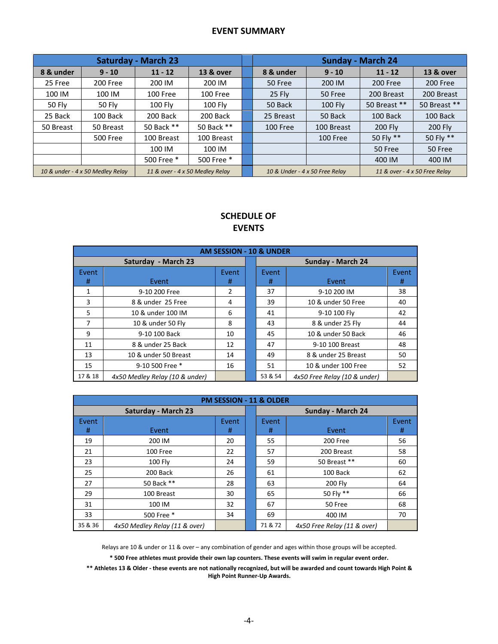# **EVENT SUMMARY**

|                                                                     |                 | <b>Saturday - March 23</b> |                      |                                                                 | <b>Sunday - March 24</b> |                |              |              |  |  |
|---------------------------------------------------------------------|-----------------|----------------------------|----------------------|-----------------------------------------------------------------|--------------------------|----------------|--------------|--------------|--|--|
| 8 & under                                                           | $9 - 10$        | $11 - 12$                  | <b>13 &amp; over</b> |                                                                 | 8 & under                | $9 - 10$       | $11 - 12$    | 13 & over    |  |  |
| 25 Free                                                             | 200 Free        | 200 IM                     | 200 IM               |                                                                 | 50 Free                  | 200 IM         | 200 Free     | 200 Free     |  |  |
| 100 IM                                                              | 100 IM          | 100 Free                   | 100 Free             |                                                                 | 25 Fly                   | 50 Free        | 200 Breast   | 200 Breast   |  |  |
| 50 Fly                                                              | 50 Fly          | <b>100 Fly</b>             | 100 Fly              |                                                                 | 50 Back                  | <b>100 Fly</b> | 50 Breast ** | 50 Breast ** |  |  |
| 25 Back                                                             | 100 Back        | 200 Back                   | 200 Back             |                                                                 | 25 Breast                | 50 Back        | 100 Back     | 100 Back     |  |  |
| 50 Breast                                                           | 50 Breast       | 50 Back **                 | 50 Back **           |                                                                 | 100 Free                 | 100 Breast     | 200 Fly      | 200 Fly      |  |  |
|                                                                     | <b>500 Free</b> | 100 Breast                 | 100 Breast           |                                                                 |                          | 100 Free       | 50 Fly **    | 50 Fly **    |  |  |
|                                                                     |                 | 100 IM                     | 100 IM               |                                                                 |                          |                | 50 Free      | 50 Free      |  |  |
|                                                                     |                 | 500 Free *                 | 500 Free *           |                                                                 |                          |                | 400 IM       | 400 IM       |  |  |
| 10 & under - 4 x 50 Medley Relay<br>11 & over - 4 x 50 Medley Relay |                 |                            |                      | 10 & Under - 4 x 50 Free Relay<br>11 & over - 4 x 50 Free Relay |                          |                |              |              |  |  |

# **SCHEDULE OF EVENTS**

| <b>AM SESSION - 10 &amp; UNDER</b> |                                |            |  |                   |                              |            |  |  |  |
|------------------------------------|--------------------------------|------------|--|-------------------|------------------------------|------------|--|--|--|
|                                    | Saturday - March 23            |            |  | Sunday - March 24 |                              |            |  |  |  |
| Event<br>#                         | Event                          | Event<br># |  | Event<br>#        | Event                        | Event<br># |  |  |  |
| 1                                  | 9-10 200 Free                  | 2          |  | 37                | 9-10 200 IM                  | 38         |  |  |  |
| 3                                  | 8 & under 25 Free              | 4          |  | 39                | 10 & under 50 Free           | 40         |  |  |  |
| 5                                  | 10 & under 100 IM              | 6          |  | 41                | 9-10 100 Fly                 | 42         |  |  |  |
| 7                                  | 10 & under 50 Fly              | 8          |  | 43                | 8 & under 25 Fly             | 44         |  |  |  |
| 9                                  | 9-10 100 Back                  | 10         |  | 45                | 10 & under 50 Back           | 46         |  |  |  |
| 11                                 | 8 & under 25 Back              | 12         |  | 47                | 9-10 100 Breast              | 48         |  |  |  |
| 13                                 | 10 & under 50 Breast           | 14         |  | 49                | 8 & under 25 Breast          | 50         |  |  |  |
| 15                                 | 9-10 500 Free *                | 16         |  | 51                | 10 & under 100 Free          | 52         |  |  |  |
| 17 & 18                            | 4x50 Medley Relay (10 & under) |            |  | 53 & 54           | 4x50 Free Relay (10 & under) |            |  |  |  |

|         | <b>PM SESSION - 11 &amp; OLDER</b> |       |                   |         |                             |       |  |  |  |  |
|---------|------------------------------------|-------|-------------------|---------|-----------------------------|-------|--|--|--|--|
|         | <b>Saturday - March 23</b>         |       | Sunday - March 24 |         |                             |       |  |  |  |  |
| Event   |                                    | Event |                   | Event   |                             | Event |  |  |  |  |
| #       | Event                              | #     |                   | #       | Event                       | #     |  |  |  |  |
| 19      | 200 IM                             | 20    |                   | 55      | 200 Free                    | 56    |  |  |  |  |
| 21      | 100 Free                           | 22    |                   | 57      | 200 Breast                  | 58    |  |  |  |  |
| 23      | 100 Fly                            | 24    |                   | 59      | 50 Breast **                | 60    |  |  |  |  |
| 25      | 200 Back                           | 26    |                   | 61      | 100 Back                    | 62    |  |  |  |  |
| 27      | 50 Back **                         | 28    |                   | 63      | 200 Fly                     | 64    |  |  |  |  |
| 29      | 100 Breast                         | 30    |                   | 65      | 50 Fly **                   | 66    |  |  |  |  |
| 31      | 100 IM                             | 32    |                   | 67      | 50 Free                     | 68    |  |  |  |  |
| 33      | 500 Free *                         | 34    |                   | 69      | 400 IM                      | 70    |  |  |  |  |
| 35 & 36 | 4x50 Medley Relay (11 & over)      |       |                   | 71 & 72 | 4x50 Free Relay (11 & over) |       |  |  |  |  |

Relays are 10 & under or 11 & over – any combination of gender and ages within those groups will be accepted.

**\* 500 Free athletes must provide their own lap counters. These events will swim in regular event order.**

**\*\* Athletes 13 & Older - these events are not nationally recognized, but will be awarded and count towards High Point & High Point Runner-Up Awards.**